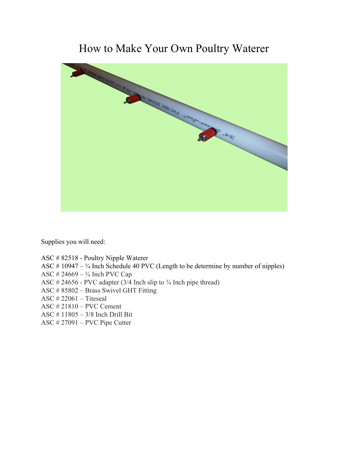## How to Make Your Own Poultry Waterer



Supplies you will need:

- ASC # 82518 Poultry Nipple Waterer
- ASC  $# 10947 \frac{3}{4}$  Inch Schedule 40 PVC (Length to be determine by number of nipples)
- ASC  $# 24669 \frac{3}{4}$  Inch PVC Cap
- ASC  $\#$  24656 PVC adapter (3/4 Inch slip to  $\frac{3}{4}$  Inch pipe thread)
- ASC # 85802 Brass Swivel GHT Fitting
- ASC # 22061 Titeseal
- ASC # 21810 PVC Cement
- ASC # 11805 3/8 Inch Drill Bit
- ASC # 27091 PVC Pipe Cutter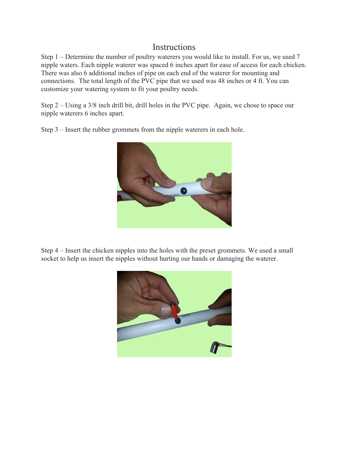## **Instructions**

Step 1 – Determine the number of poultry waterers you would like to install. For us, we used 7 nipple waters. Each nipple waterer was spaced 6 inches apart for ease of access for each chicken. There was also 6 additional inches of pipe on each end of the waterer for mounting and connections. The total length of the PVC pipe that we used was 48 inches or 4 ft. You can customize your watering system to fit your poultry needs.

Step 2 – Using a 3/8 inch drill bit, drill holes in the PVC pipe. Again, we chose to space our nipple waterers 6 inches apart.



Step 3 – Insert the rubber grommets from the nipple waterers in each hole.

Step 4 – Insert the chicken nipples into the holes with the preset grommets. We used a small socket to help us insert the nipples without hurting our hands or damaging the waterer.

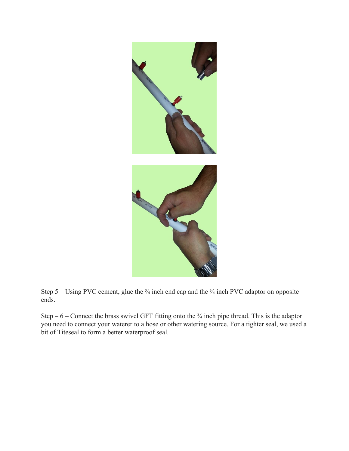

Step 5 – Using PVC cement, glue the  $\frac{3}{4}$  inch end cap and the  $\frac{3}{4}$  inch PVC adaptor on opposite ends.

Step –  $6$  – Connect the brass swivel GFT fitting onto the  $\frac{3}{4}$  inch pipe thread. This is the adaptor you need to connect your waterer to a hose or other watering source. For a tighter seal, we used a bit of Titeseal to form a better waterproof seal.